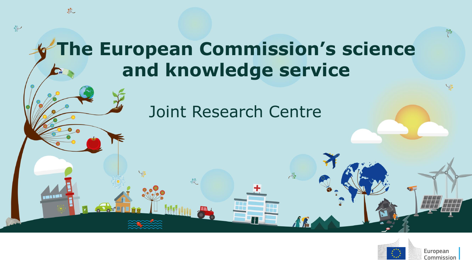### **The European Commission's science and knowledge service**

敦

 $\rightarrow$ 

#### Joint Research Centre

心

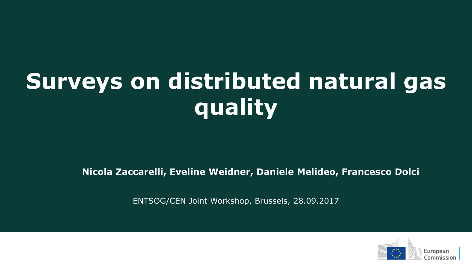# **Surveys on distributed natural gas quality**

**Nicola Zaccarelli, Eveline Weidner, Daniele Melideo, Francesco Dolci**

ENTSOG/CEN Joint Workshop, Brussels, 28.09.2017

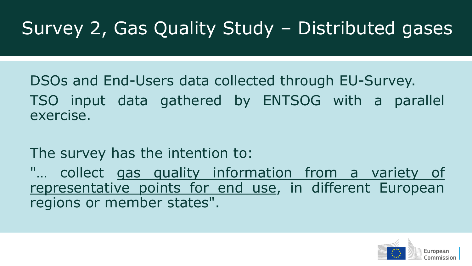## Survey 2, Gas Quality Study – Distributed gases

DSOs and End-Users data collected through EU-Survey. TSO input data gathered by ENTSOG with a parallel exercise.

The survey has the intention to:

"… collect gas quality information from a variety of representative points for end use, in different European regions or member states".

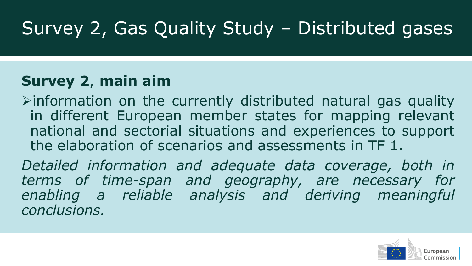## Survey 2, Gas Quality Study – Distributed gases

#### **Survey 2**, **main aim**

 $\triangleright$  information on the currently distributed natural gas quality in different European member states for mapping relevant national and sectorial situations and experiences to support the elaboration of scenarios and assessments in TF 1.

*Detailed information and adequate data coverage, both in terms of time-span and geography, are necessary for enabling a reliable analysis and deriving meaningful conclusions.*

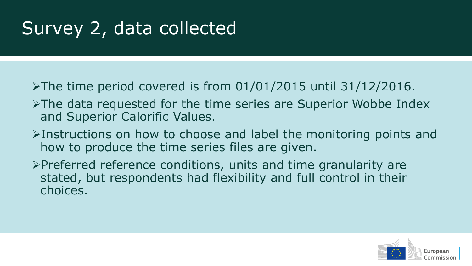## Survey 2, data collected

- $\triangleright$ The time period covered is from 01/01/2015 until 31/12/2016.
- $\triangleright$ The data requested for the time series are Superior Wobbe Index and Superior Calorific Values.
- Instructions on how to choose and label the monitoring points and how to produce the time series files are given.
- $\triangleright$ Preferred reference conditions, units and time granularity are stated, but respondents had flexibility and full control in their choices.

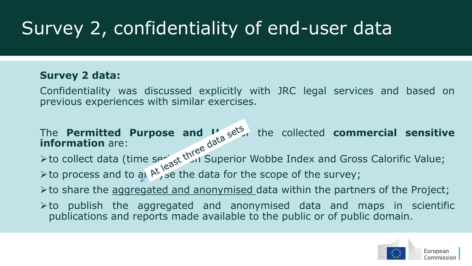### Survey 2, confidentiality of end-user data

#### **Survey 2 data:**

Confidentiality was discussed explicitly with JRC legal services and based on previous experiences with similar exercises.

#### The **Permitted Purpose and Use** of the collected **commercial sensitive information** are:

 $\triangleright$  to collect data (time seriest Unit Superior Wobbe Index and Gross Calorific Value;  $\triangleright$  to process and to at  $\mathbb{A}^1$  se the data for the scope of the survey;

 $\triangleright$  to share the aggregated and anonymised data within the partners of the Project;

 $\triangleright$  to publish the aggregated and anonymised data and maps in scientific publications and reports made available to the public or of public domain.

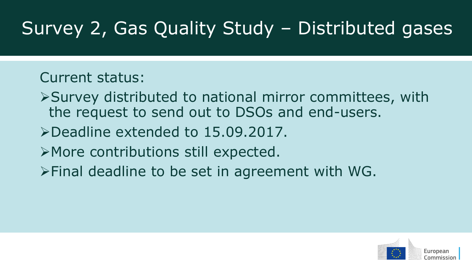## Survey 2, Gas Quality Study – Distributed gases

#### Current status:

- Survey distributed to national mirror committees, with the request to send out to DSOs and end-users.
- Deadline extended to 15.09.2017.
- More contributions still expected.
- Final deadline to be set in agreement with WG.

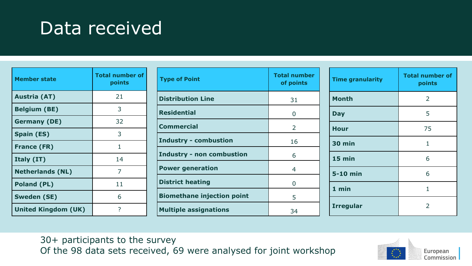#### Data received

| <b>Member state</b>        | <b>Total number of</b><br>points |
|----------------------------|----------------------------------|
| <b>Austria (AT)</b>        | 21                               |
| <b>Belgium (BE)</b>        | 3                                |
| <b>Germany (DE)</b>        | 32                               |
| <b>Spain (ES)</b>          | 3                                |
| <b>France (FR)</b>         | 1                                |
| Italy (IT)                 | 14                               |
| <b>Netherlands (NL)</b>    | 7                                |
| <b>Poland (PL)</b>         | 11                               |
| <b>Sweden (SE)</b>         | 6                                |
| <b>United Kingdom (UK)</b> | 7                                |

| <b>Type of Point</b>              | <b>Total number</b><br>of points |
|-----------------------------------|----------------------------------|
| <b>Distribution Line</b>          | 31                               |
| <b>Residential</b>                | O                                |
| <b>Commercial</b>                 | 2                                |
| <b>Industry - combustion</b>      | 16                               |
| <b>Industry - non combustion</b>  | 6                                |
| <b>Power generation</b>           | 4                                |
| <b>District heating</b>           | 0                                |
| <b>Biomethane injection point</b> | 5                                |
| <b>Multiple assignations</b>      | 34                               |

| <b>Time granularity</b> | <b>Total number of</b><br>points |
|-------------------------|----------------------------------|
| <b>Month</b>            | 2                                |
| <b>Day</b>              | 5                                |
| <b>Hour</b>             | 75                               |
| <b>30 min</b>           | 1                                |
| 15 min                  | 6                                |
| 5-10 min                | 6                                |
| $1$ min                 | 1                                |
| <b>Irregular</b>        | 2                                |

30+ participants to the survey Of the 98 data sets received, 69 were analysed for joint workshop